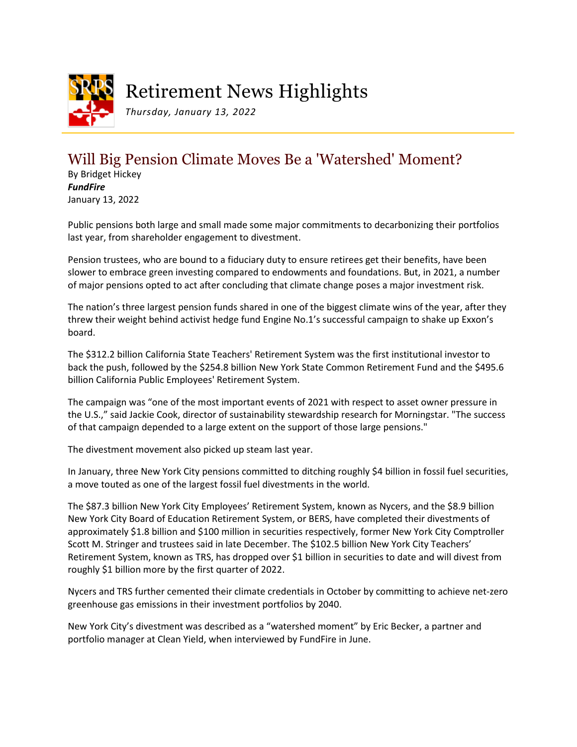<span id="page-0-0"></span>

## Retirement News Highlights

*Thursday, January 13, 2022*

## Will Big Pension Climate Moves Be a 'Watershed' Moment?

By Bridget Hickey *FundFire* January 13, 2022

Public pensions both large and small made some major commitments to decarbonizing their portfolios last year, from shareholder engagement to divestment.

Pension trustees, who are bound to a fiduciary duty to ensure retirees get their benefits, have been slower to embrace green investing compared to endowments and foundations. But, in 2021, a number of major pensions opted to act after concluding that climate change poses a major investment risk.

The nation's three largest pension funds shared in one of the biggest climate wins of the year, after they threw their weight behind activist hedge fund Engine No.1's successful campaign to shake up Exxon's board.

The \$312.2 billion California State Teachers' Retirement System was the first institutional investor to back the push, followed by the \$254.8 billion New York State Common Retirement Fund and the \$495.6 billion California Public Employees' Retirement System.

The campaign was "one of the most important events of 2021 with respect to asset owner pressure in the U.S.," said Jackie Cook, director of sustainability stewardship research for Morningstar. "The success of that campaign depended to a large extent on the support of those large pensions."

The divestment movement also picked up steam last year.

In January, three New York City pensions committed to ditching roughly \$4 billion in fossil fuel securities, a move touted as one of the largest fossil fuel divestments in the world.

The \$87.3 billion New York City Employees' Retirement System, known as Nycers, and the \$8.9 billion New York City Board of Education Retirement System, or BERS, have completed their divestments of approximately \$1.8 billion and \$100 million in securities respectively, former New York City Comptroller Scott M. Stringer and trustees said in late December. The \$102.5 billion New York City Teachers' Retirement System, known as TRS, has dropped over \$1 billion in securities to date and will divest from roughly \$1 billion more by the first quarter of 2022.

Nycers and TRS further cemented their climate credentials in October by committing to achieve net-zero greenhouse gas emissions in their investment portfolios by 2040.

New York City's divestment was described as a "watershed moment" by Eric Becker, a partner and portfolio manager at Clean Yield, when interviewed by FundFire in June.